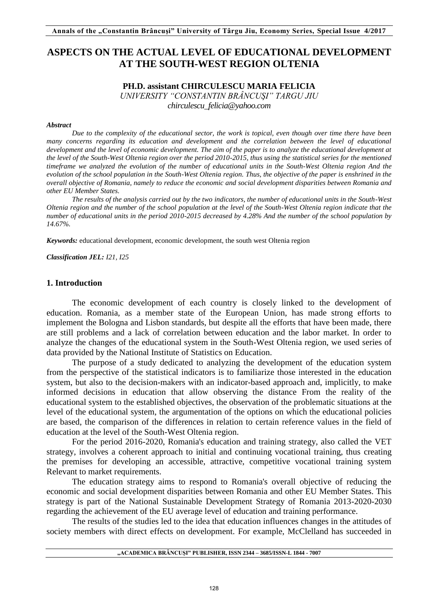# **ASPECTS ON THE ACTUAL LEVEL OF EDUCATIONAL DEVELOPMENT AT THE SOUTH-WEST REGION OLTENIA**

# **PH.D. assistant CHIRCULESCU MARIA FELICIA**

*UNIVERSITY "CONSTANTIN BRÂNCUŞI" TARGU JIU*

*chirculescu\_felicia@yahoo.com* 

#### *Abstract*

*Due to the complexity of the educational sector, the work is topical, even though over time there have been many concerns regarding its education and development and the correlation between the level of educational development and the level of economic development. The aim of the paper is to analyze the educational development at the level of the South-West Oltenia region over the period 2010-2015, thus using the statistical series for the mentioned timeframe we analyzed the evolution of the number of educational units in the South-West Oltenia region And the evolution of the school population in the South-West Oltenia region. Thus, the objective of the paper is enshrined in the overall objective of Romania, namely to reduce the economic and social development disparities between Romania and other EU Member States.* 

*The results of the analysis carried out by the two indicators, the number of educational units in the South-West Oltenia region and the number of the school population at the level of the South-West Oltenia region indicate that the number of educational units in the period 2010-2015 decreased by 4.28% And the number of the school population by 14.67%.*

*Keywords:* educational development, economic development, the south west Oltenia region

*Classification JEL: I21, I25* 

### **1. Introduction**

The economic development of each country is closely linked to the development of education. Romania, as a member state of the European Union, has made strong efforts to implement the Bologna and Lisbon standards, but despite all the efforts that have been made, there are still problems and a lack of correlation between education and the labor market. In order to analyze the changes of the educational system in the South-West Oltenia region, we used series of data provided by the National Institute of Statistics on Education.

The purpose of a study dedicated to analyzing the development of the education system from the perspective of the statistical indicators is to familiarize those interested in the education system, but also to the decision-makers with an indicator-based approach and, implicitly, to make informed decisions in education that allow observing the distance From the reality of the educational system to the established objectives, the observation of the problematic situations at the level of the educational system, the argumentation of the options on which the educational policies are based, the comparison of the differences in relation to certain reference values in the field of education at the level of the South-West Oltenia region.

For the period 2016-2020, Romania's education and training strategy, also called the VET strategy, involves a coherent approach to initial and continuing vocational training, thus creating the premises for developing an accessible, attractive, competitive vocational training system Relevant to market requirements.

The education strategy aims to respond to Romania's overall objective of reducing the economic and social development disparities between Romania and other EU Member States. This strategy is part of the National Sustainable Development Strategy of Romania 2013-2020-2030 regarding the achievement of the EU average level of education and training performance.

The results of the studies led to the idea that education influences changes in the attitudes of society members with direct effects on development. For example, McClelland has succeeded in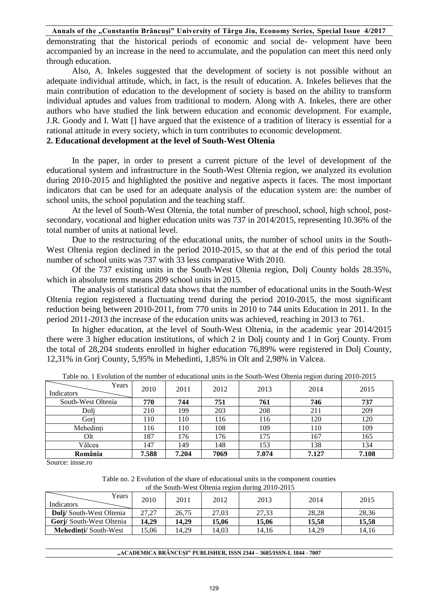### **Annals of the "Constantin Brâncuşi" University of Târgu Jiu, Economy Series, Special Issue 4/2017**

demonstrating that the historical periods of economic and social de- velopment have been accompanied by an increase in the need to accumulate, and the population can meet this need only through education.

Also, A. Inkeles suggested that the development of society is not possible without an adequate individual attitude, which, in fact, is the result of education. A. Inkeles believes that the main contribution of education to the development of society is based on the ability to transform individual aptudes and values from traditional to modern. Along with A. Inkeles, there are other authors who have studied the link between education and economic development. For example, J.R. Goody and I. Watt [] have argued that the existence of a tradition of literacy is essential for a rational attitude in every society, which in turn contributes to economic development.

# **2. Educational development at the level of South-West Oltenia**

In the paper, in order to present a current picture of the level of development of the educational system and infrastructure in the South-West Oltenia region, we analyzed its evolution during 2010-2015 and highlighted the positive and negative aspects it faces. The most important indicators that can be used for an adequate analysis of the education system are: the number of school units, the school population and the teaching staff.

At the level of South-West Oltenia, the total number of preschool, school, high school, postsecondary, vocational and higher education units was 737 in 2014/2015, representing 10.36% of the total number of units at national level.

Due to the restructuring of the educational units, the number of school units in the South-West Oltenia region declined in the period 2010-2015, so that at the end of this period the total number of school units was 737 with 33 less comparative With 2010.

Of the 737 existing units in the South-West Oltenia region, Dolj County holds 28.35%, which in absolute terms means 209 school units in 2015.

The analysis of statistical data shows that the number of educational units in the South-West Oltenia region registered a fluctuating trend during the period 2010-2015, the most significant reduction being between 2010-2011, from 770 units in 2010 to 744 units Education in 2011. In the period 2011-2013 the increase of the education units was achieved, reaching in 2013 to 761.

In higher education, at the level of South-West Oltenia, in the academic year 2014/2015 there were 3 higher education institutions, of which 2 in Dolj county and 1 in Gorj County. From the total of 28,204 students enrolled in higher education 76,89% were registered in Dolj County, 12,31% in Gorj County, 5,95% in Mehedinti, 1,85% in Olt and 2,98% in Valcea.

| Years<br>Indicators | 2010  | 2011  | 2012 | 2013  | 2014  | 2015  |
|---------------------|-------|-------|------|-------|-------|-------|
| South-West Oltenia  | 770   | 744   | 751  | 761   | 746   | 737   |
| Doli                | 210   | 199   | 203  | 208   | 211   | 209   |
| Gori                | 110   | 110   | 116  | 116   | 120   | 120   |
| Mehedinți           | 116   | 110   | 108  | 109   | 110   | 109   |
| Olt                 | 187   | 176   | 176  | 175   | 167   | 165   |
| Vâlcea              | 147   | 149   | 148  | 153   | 138   | 134   |
| România             | 7.588 | 7.204 | 7069 | 7.074 | 7.127 | 7.108 |

Table no. 1 Evolution of the number of educational units in the South-West Oltenia region during 2010-2015

Source: insse.ro

| Table no. 2 Evolution of the share of educational units in the component counties |  |
|-----------------------------------------------------------------------------------|--|
| of the South-West Oltenia region during 2010-2015                                 |  |

| of the bouth $\pi$ cot oftenia region during 2010 2010 |       |       |       |       |       |       |  |  |  |  |  |
|--------------------------------------------------------|-------|-------|-------|-------|-------|-------|--|--|--|--|--|
| Years<br><b>Indicators</b>                             | 2010  | 2011  | 2012  | 2013  | 2014  | 2015  |  |  |  |  |  |
| <b>Dolj</b> /South-West Oltenia                        | 27.27 | 26,75 | 27,03 | 27,33 | 28.28 | 28,36 |  |  |  |  |  |
| Gorj/South-West Oltenia                                | 14.29 | 14.29 | 15,06 | 15.06 | 15.58 | 15,58 |  |  |  |  |  |
| <b>Mehedinti/South-West</b>                            | 15,06 | 14.29 | 14.03 | 14.16 | 14.29 | 14.16 |  |  |  |  |  |

| "ACADEMICA BRÂNCUȘI" PUBLISHER, ISSN 2344 – 3685/ISSN-L 1844 - 7007 |  |
|---------------------------------------------------------------------|--|
|---------------------------------------------------------------------|--|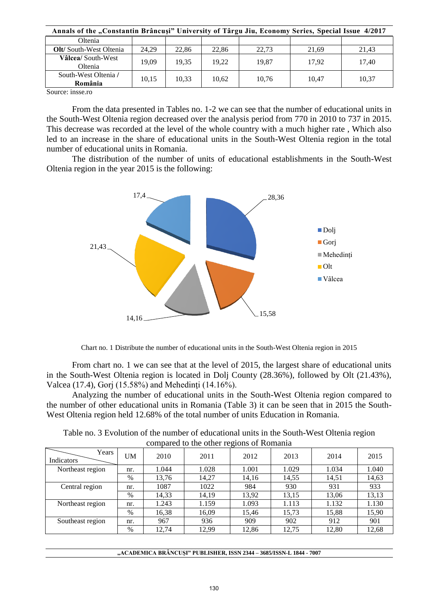| Annals of the "Constantin Brâncuși" University of Târgu Jiu, Economy Series, Special Issue 4/2017 |       |       |       |       |       |       |  |  |  |  |  |
|---------------------------------------------------------------------------------------------------|-------|-------|-------|-------|-------|-------|--|--|--|--|--|
| Oltenia                                                                                           |       |       |       |       |       |       |  |  |  |  |  |
| <b>Olt/South-West Oltenia</b>                                                                     | 24.29 | 22.86 | 22.86 | 22.73 | 21,69 | 21,43 |  |  |  |  |  |
| Vâlcea/South-West<br>Oltenia                                                                      | 19.09 | 19.35 | 19.22 | 19.87 | 17.92 | 17.40 |  |  |  |  |  |
| South-West Oltenia /<br>România                                                                   | 10.15 | 10.33 | 10.62 | 10.76 | 10.47 | 10.37 |  |  |  |  |  |

Source: insse.ro

From the data presented in Tables no. 1-2 we can see that the number of educational units in the South-West Oltenia region decreased over the analysis period from 770 in 2010 to 737 in 2015. This decrease was recorded at the level of the whole country with a much higher rate , Which also led to an increase in the share of educational units in the South-West Oltenia region in the total number of educational units in Romania.

The distribution of the number of units of educational establishments in the South-West Oltenia region in the year 2015 is the following:



Chart no. 1 Distribute the number of educational units in the South-West Oltenia region in 2015

From chart no. 1 we can see that at the level of 2015, the largest share of educational units in the South-West Oltenia region is located in Dolj County (28.36%), followed by Olt (21.43%), Valcea (17.4), Gorj (15.58%) and Mehedinti (14.16%).

Analyzing the number of educational units in the South-West Oltenia region compared to the number of other educational units in Romania (Table 3) it can be seen that in 2015 the South-West Oltenia region held 12.68% of the total number of units Education in Romania.

|  |                                          | Table no. 3 Evolution of the number of educational units in the South-West Oltenia region |  |
|--|------------------------------------------|-------------------------------------------------------------------------------------------|--|
|  | compared to the other regions of Romania |                                                                                           |  |

| Years<br>Indicators | UM   | 2010  | 2011  | 2012  | 2013  | 2014  | 2015  |
|---------------------|------|-------|-------|-------|-------|-------|-------|
| Northeast region    | nr.  | 1.044 | 1.028 | 1.001 | 1.029 | 1.034 | 1.040 |
|                     | %    | 13,76 | 14,27 | 14,16 | 14,55 | 14,51 | 14,63 |
| Central region      | nr.  | 1087  | 1022  | 984   | 930   | 931   | 933   |
|                     | %    | 14,33 | 14,19 | 13,92 | 13,15 | 13,06 | 13,13 |
| Northeast region    | nr.  | 1.243 | 1.159 | 1.093 | 1.113 | 1.132 | 1.130 |
|                     | %    | 16,38 | 16,09 | 15,46 | 15,73 | 15,88 | 15,90 |
| Southeast region    | nr.  | 967   | 936   | 909   | 902   | 912   | 901   |
|                     | $\%$ | 12,74 | 12,99 | 12,86 | 12,75 | 12,80 | 12,68 |

| "ACADEMICA BRÂNCUȘI" PUBLISHER, ISSN 2344 – 3685/ISSN-L 1844 - 7007 |  |  |
|---------------------------------------------------------------------|--|--|
|---------------------------------------------------------------------|--|--|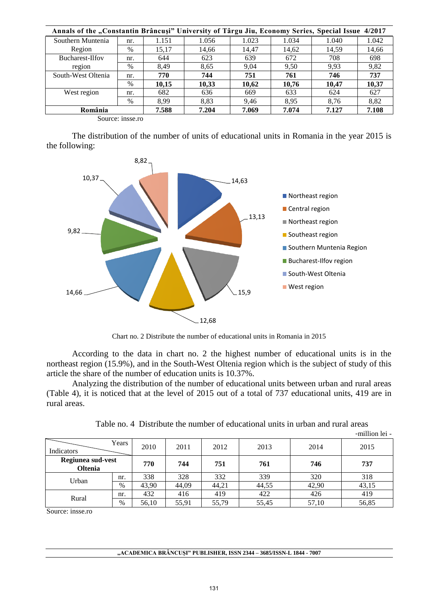| Annals of the "Constantin Brâncuși" University of Târgu Jiu, Economy Series, Special Issue 4/2017 |      |       |       |       |       |       |       |  |  |  |  |
|---------------------------------------------------------------------------------------------------|------|-------|-------|-------|-------|-------|-------|--|--|--|--|
| Southern Muntenia                                                                                 | nr.  | 1.151 | 1.056 | 1.023 | 1.034 | 1.040 | 1.042 |  |  |  |  |
| Region                                                                                            | $\%$ | 15.17 | 14.66 | 14.47 | 14,62 | 14,59 | 14,66 |  |  |  |  |
| Bucharest-Ilfov                                                                                   | nr.  | 644   | 623   | 639   | 672   | 708   | 698   |  |  |  |  |
| region                                                                                            | $\%$ | 8.49  | 8.65  | 9.04  | 9.50  | 9.93  | 9,82  |  |  |  |  |
| South-West Oltenia                                                                                | nr.  | 770   | 744   | 751   | 761   | 746   | 737   |  |  |  |  |
|                                                                                                   | $\%$ | 10,15 | 10,33 | 10,62 | 10,76 | 10,47 | 10,37 |  |  |  |  |
| West region                                                                                       | nr.  | 682   | 636   | 669   | 633   | 624   | 627   |  |  |  |  |
|                                                                                                   | $\%$ | 8.99  | 8.83  | 9.46  | 8.95  | 8.76  | 8,82  |  |  |  |  |
| România                                                                                           |      | 7.588 | 7.204 | 7.069 | 7.074 | 7.127 | 7.108 |  |  |  |  |

Source: insse.ro

The distribution of the number of units of educational units in Romania in the year 2015 is the following:



Chart no. 2 Distribute the number of educational units in Romania in 2015

According to the data in chart no. 2 the highest number of educational units is in the northeast region (15.9%), and in the South-West Oltenia region which is the subject of study of this article the share of the number of education units is 10.37%.

Analyzing the distribution of the number of educational units between urban and rural areas (Table 4), it is noticed that at the level of 2015 out of a total of 737 educational units, 419 are in rural areas.

|                                     |      |       |       |       |       |       | -million lei - |
|-------------------------------------|------|-------|-------|-------|-------|-------|----------------|
| Years<br>Indicators                 |      | 2010  | 2011  | 2012  | 2013  | 2014  | 2015           |
| Regiunea sud-vest<br><b>Oltenia</b> |      | 770   | 744   | 751   | 761   | 746   | 737            |
| Urban                               | nr.  | 338   | 328   | 332   | 339   | 320   | 318            |
|                                     | $\%$ | 43,90 | 44,09 | 44,21 | 44,55 | 42,90 | 43,15          |
| Rural                               | nr.  | 432   | 416   | 419   | 422   | 426   | 419            |
|                                     | %    | 56,10 | 55,91 | 55,79 | 55,45 | 57,10 | 56,85          |

Table no. 4 Distribute the number of educational units in urban and rural areas

Source: insse.ro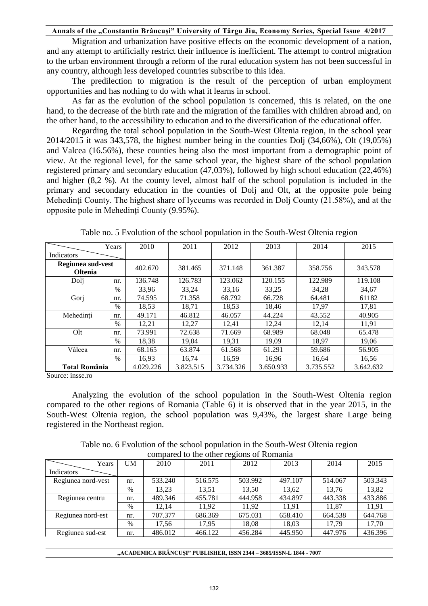#### **Annals of the "Constantin Brâncuşi" University of Târgu Jiu, Economy Series, Special Issue 4/2017**

Migration and urbanization have positive effects on the economic development of a nation, and any attempt to artificially restrict their influence is inefficient. The attempt to control migration to the urban environment through a reform of the rural education system has not been successful in any country, although less developed countries subscribe to this idea.

 The predilection to migration is the result of the perception of urban employment opportunities and has nothing to do with what it learns in school.

As far as the evolution of the school population is concerned, this is related, on the one hand, to the decrease of the birth rate and the migration of the families with children abroad and, on the other hand, to the accessibility to education and to the diversification of the educational offer.

Regarding the total school population in the South-West Oltenia region, in the school year 2014/2015 it was 343,578, the highest number being in the counties Dolj (34,66%), Olt (19,05%) and Valcea (16.56%), these counties being also the most important from a demographic point of view. At the regional level, for the same school year, the highest share of the school population registered primary and secondary education (47,03%), followed by high school education (22,46%) and higher (8,2 %). At the county level, almost half of the school population is included in the primary and secondary education in the counties of Dolj and Olt, at the opposite pole being Mehedinți County. The highest share of lyceums was recorded in Dolj County (21.58%), and at the opposite pole in Mehedinţi County (9.95%).

|                                     | Years         | 2010      | 2011      | 2012      | 2013      | 2014      | 2015      |
|-------------------------------------|---------------|-----------|-----------|-----------|-----------|-----------|-----------|
| Indicators                          |               |           |           |           |           |           |           |
| Regiunea sud-vest<br><b>Oltenia</b> |               | 402.670   | 381.465   | 371.148   | 361.387   | 358.756   | 343.578   |
| Dolj                                | nr.           | 136.748   | 126.783   | 123.062   | 120.155   | 122.989   | 119.108   |
|                                     | $\frac{0}{0}$ | 33.96     | 33.24     | 33.16     | 33.25     | 34.28     | 34.67     |
| Gorj                                | nr.           | 74.595    | 71.358    | 68.792    | 66.728    | 64.481    | 61182     |
|                                     | $\frac{0}{0}$ | 18,53     | 18,71     | 18,53     | 18.46     | 17.97     | 17,81     |
| Mehedinți                           | nr.           | 49.171    | 46.812    | 46.057    | 44.224    | 43.552    | 40.905    |
|                                     | $\frac{0}{0}$ | 12,21     | 12,27     | 12,41     | 12,24     | 12,14     | 11,91     |
| Olt                                 | nr.           | 73.991    | 72.638    | 71.669    | 68.989    | 68.048    | 65.478    |
|                                     | $\frac{0}{0}$ | 18,38     | 19,04     | 19,31     | 19,09     | 18,97     | 19,06     |
| Vâlcea                              | nr.           | 68.165    | 63.874    | 61.568    | 61.291    | 59.686    | 56.905    |
|                                     | $\%$          | 16.93     | 16,74     | 16,59     | 16,96     | 16.64     | 16,56     |
| <b>Total România</b>                |               | 4.029.226 | 3.823.515 | 3.734.326 | 3.650.933 | 3.735.552 | 3.642.632 |

Table no. 5 Evolution of the school population in the South-West Oltenia region

Source: insse.ro

Analyzing the evolution of the school population in the South-West Oltenia region compared to the other regions of Romania (Table 6) it is observed that in the year 2015, in the South-West Oltenia region, the school population was 9,43%, the largest share Large being registered in the Northeast region.

| Years              | UM   | 2010    | 2011    | 2012    | 2013    | 2014    | 2015    |
|--------------------|------|---------|---------|---------|---------|---------|---------|
| Indicators         |      |         |         |         |         |         |         |
| Regiunea nord-vest | nr.  | 533.240 | 516.575 | 503.992 | 497.107 | 514.067 | 503.343 |
|                    | $\%$ | 13,23   | 13,51   | 13,50   | 13,62   | 13,76   | 13,82   |
| Regiunea centru    | nr.  | 489.346 | 455.781 | 444.958 | 434.897 | 443.338 | 433.886 |
|                    | $\%$ | 12.14   | 11.92   | 11.92   | 11.91   | 11.87   | 11.91   |
| Regiunea nord-est  | nr.  | 707.377 | 686.369 | 675.031 | 658.410 | 664.538 | 644.768 |
|                    | $\%$ | 17,56   | 17.95   | 18,08   | 18,03   | 17.79   | 17.70   |
| Regiunea sud-est   | nr.  | 486.012 | 466.122 | 456.284 | 445.950 | 447.976 | 436.396 |
|                    |      |         |         |         |         |         |         |

Table no. 6 Evolution of the school population in the South-West Oltenia region compared to the other regions of Romania

| "ACADEMICA BRÂNCUȘI" PUBLISHER, ISSN 2344 – 3685/ISSN-L 1844 - 7007 |  |
|---------------------------------------------------------------------|--|
|---------------------------------------------------------------------|--|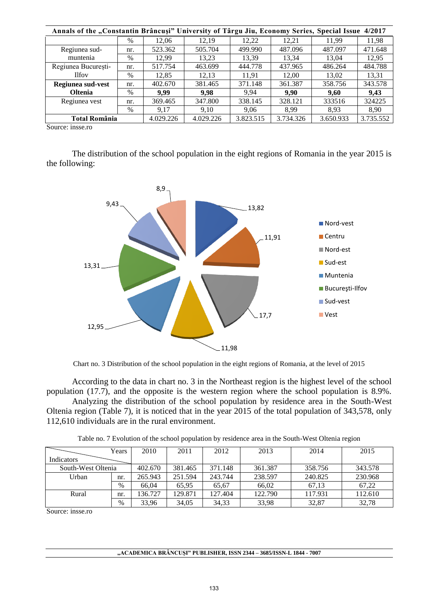| Annals of the "Constantin Brâncuși" University of Târgu Jiu, Economy Series, Special Issue 4/2017 |      |           |           |           |           |           |           |  |  |  |  |
|---------------------------------------------------------------------------------------------------|------|-----------|-----------|-----------|-----------|-----------|-----------|--|--|--|--|
|                                                                                                   | $\%$ | 12.06     | 12.19     | 12,22     | 12.21     | 11.99     | 11,98     |  |  |  |  |
| Regiunea sud-                                                                                     | nr.  | 523.362   | 505.704   | 499.990   | 487.096   | 487.097   | 471.648   |  |  |  |  |
| muntenia                                                                                          | $\%$ | 12.99     | 13,23     | 13,39     | 13,34     | 13.04     | 12,95     |  |  |  |  |
| Regiunea București-                                                                               | nr.  | 517.754   | 463.699   | 444.778   | 437.965   | 486.264   | 484.788   |  |  |  |  |
| <b>Ilfov</b>                                                                                      | $\%$ | 12,85     | 12,13     | 11,91     | 12,00     | 13,02     | 13,31     |  |  |  |  |
| Regiunea sud-vest                                                                                 | nr.  | 402.670   | 381.465   | 371.148   | 361.387   | 358.756   | 343.578   |  |  |  |  |
| <b>Oltenia</b>                                                                                    | $\%$ | 9.99      | 9.98      | 9.94      | 9.90      | 9.60      | 9.43      |  |  |  |  |
| Regiunea vest                                                                                     | nr.  | 369.465   | 347.800   | 338.145   | 328.121   | 333516    | 324225    |  |  |  |  |
|                                                                                                   | $\%$ | 9.17      | 9.10      | 9.06      | 8.99      | 8.93      | 8.90      |  |  |  |  |
| <b>Total România</b>                                                                              |      | 4.029.226 | 4.029.226 | 3.823.515 | 3.734.326 | 3.650.933 | 3.735.552 |  |  |  |  |

Source: insse.ro

The distribution of the school population in the eight regions of Romania in the year 2015 is the following:



Chart no. 3 Distribution of the school population in the eight regions of Romania, at the level of 2015

According to the data in chart no. 3 in the Northeast region is the highest level of the school population (17.7), and the opposite is the western region where the school population is 8.9%.

Analyzing the distribution of the school population by residence area in the South-West Oltenia region (Table 7), it is noticed that in the year 2015 of the total population of 343,578, only 112,610 individuals are in the rural environment.

|                    | Years         | 2010    | 2011    | 2012    | 2013    | 2014    | 2015    |
|--------------------|---------------|---------|---------|---------|---------|---------|---------|
| <b>Indicators</b>  |               |         |         |         |         |         |         |
| South-West Oltenia |               | 402.670 | 381.465 | 371.148 | 361.387 | 358.756 | 343.578 |
| Urban              | nr.           | 265.943 | 251.594 | 243.744 | 238.597 | 240.825 | 230.968 |
|                    | $\%$          | 66.04   | 65.95   | 65.67   | 66.02   | 67.13   | 67.22   |
| Rural              | nr.           | 136.727 | 129.871 | 127.404 | 122.790 | 117.931 | 112.610 |
|                    | $\frac{0}{0}$ | 33,96   | 34,05   | 34,33   | 33,98   | 32,87   | 32,78   |

Table no. 7 Evolution of the school population by residence area in the South-West Oltenia region

Source: insse.ro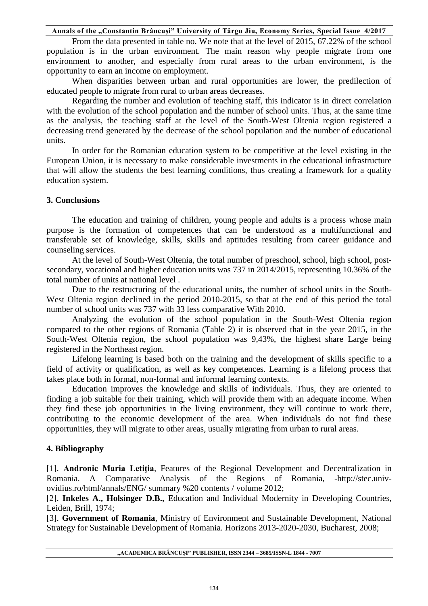From the data presented in table no. We note that at the level of 2015, 67.22% of the school population is in the urban environment. The main reason why people migrate from one environment to another, and especially from rural areas to the urban environment, is the opportunity to earn an income on employment.

When disparities between urban and rural opportunities are lower, the predilection of educated people to migrate from rural to urban areas decreases.

Regarding the number and evolution of teaching staff, this indicator is in direct correlation with the evolution of the school population and the number of school units. Thus, at the same time as the analysis, the teaching staff at the level of the South-West Oltenia region registered a decreasing trend generated by the decrease of the school population and the number of educational units.

In order for the Romanian education system to be competitive at the level existing in the European Union, it is necessary to make considerable investments in the educational infrastructure that will allow the students the best learning conditions, thus creating a framework for a quality education system.

# **3. Conclusions**

The education and training of children, young people and adults is a process whose main purpose is the formation of competences that can be understood as a multifunctional and transferable set of knowledge, skills, skills and aptitudes resulting from career guidance and counseling services.

At the level of South-West Oltenia, the total number of preschool, school, high school, postsecondary, vocational and higher education units was 737 in 2014/2015, representing 10.36% of the total number of units at national level .

Due to the restructuring of the educational units, the number of school units in the South-West Oltenia region declined in the period 2010-2015, so that at the end of this period the total number of school units was 737 with 33 less comparative With 2010.

Analyzing the evolution of the school population in the South-West Oltenia region compared to the other regions of Romania (Table 2) it is observed that in the year 2015, in the South-West Oltenia region, the school population was 9,43%, the highest share Large being registered in the Northeast region.

Lifelong learning is based both on the training and the development of skills specific to a field of activity or qualification, as well as key competences. Learning is a lifelong process that takes place both in formal, non-formal and informal learning contexts.

Education improves the knowledge and skills of individuals. Thus, they are oriented to finding a job suitable for their training, which will provide them with an adequate income. When they find these job opportunities in the living environment, they will continue to work there, contributing to the economic development of the area. When individuals do not find these opportunities, they will migrate to other areas, usually migrating from urban to rural areas.

# **4. Bibliography**

[1]. **Andronic Maria Letiţia**, Features of the Regional Development and Decentralization in Romania. A Comparative Analysis of the Regions of Romania, -http://stec.univovidius.ro/html/annals/ENG/ summary %20 contents / volume 2012;

[2]. **Inkeles A., Holsinger D.B.,** Education and Individual Modernity in Developing Countries, Leiden, Brill, 1974;

[3]. **Government of Romania**, Ministry of Environment and Sustainable Development, National Strategy for Sustainable Development of Romania. Horizons 2013-2020-2030, Bucharest, 2008;